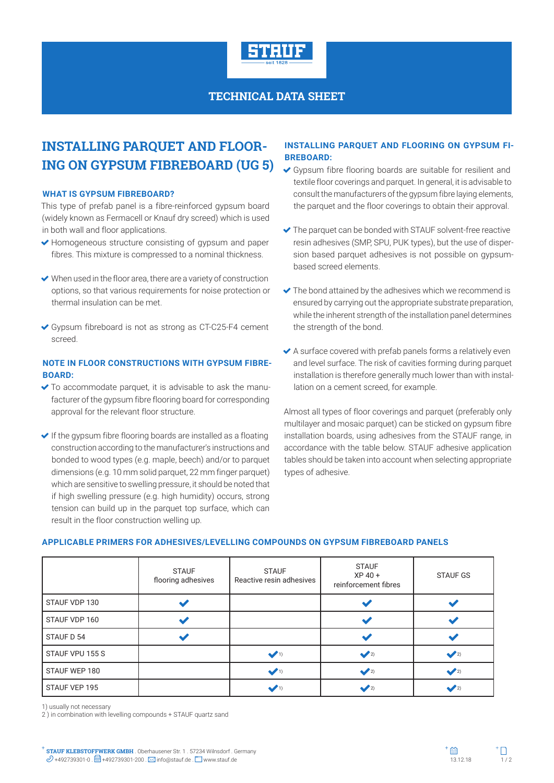

## **TECHNICAL DATA SHEET**

# **INSTALLING PARQUET AND FLOOR-ING ON GYPSUM FIBREBOARD (UG 5)**

#### **WHAT IS GYPSUM FIBREBOARD?**

This type of prefab panel is a fibre-reinforced gypsum board (widely known as Fermacell or Knauf dry screed) which is used in both wall and floor applications.

- ◆ Homogeneous structure consisting of gypsum and paper fibres. This mixture is compressed to a nominal thickness.
- When used in the floor area, there are a variety of construction options, so that various requirements for noise protection or thermal insulation can be met.
- Gypsum fibreboard is not as strong as CT-C25-F4 cement screed.

#### **NOTE IN FLOOR CONSTRUCTIONS WITH GYPSUM FIBRE-BOARD:**

- $\blacktriangleright$  To accommodate parquet, it is advisable to ask the manufacturer of the gypsum fibre flooring board for corresponding approval for the relevant floor structure.
- $\blacktriangleright$  If the gypsum fibre flooring boards are installed as a floating construction according to the manufacturer's instructions and bonded to wood types (e.g. maple, beech) and/or to parquet dimensions (e.g. 10 mm solid parquet, 22 mm finger parquet) which are sensitive to swelling pressure, it should be noted that if high swelling pressure (e.g. high humidity) occurs, strong tension can build up in the parquet top surface, which can result in the floor construction welling up.

### **INSTALLING PARQUET AND FLOORING ON GYPSUM FI-BREBOARD:**

- Gypsum fibre flooring boards are suitable for resilient and textile floor coverings and parquet. In general, it is advisable to consult the manufacturers of the gypsum fibre laying elements, the parquet and the floor coverings to obtain their approval.
- The parquet can be bonded with STAUF solvent-free reactive resin adhesives (SMP, SPU, PUK types), but the use of dispersion based parquet adhesives is not possible on gypsumbased screed elements.
- $\blacktriangleright$  The bond attained by the adhesives which we recommend is ensured by carrying out the appropriate substrate preparation, while the inherent strength of the installation panel determines the strength of the bond.
- A surface covered with prefab panels forms a relatively even and level surface. The risk of cavities forming during parquet installation is therefore generally much lower than with installation on a cement screed, for example.

Almost all types of floor coverings and parquet (preferably only multilayer and mosaic parquet) can be sticked on gypsum fibre installation boards, using adhesives from the STAUF range, in accordance with the table below. STAUF adhesive application tables should be taken into account when selecting appropriate types of adhesive.

#### **APPLICABLE PRIMERS FOR ADHESIVES/LEVELLING COMPOUNDS ON GYPSUM FIBREBOARD PANELS**

|                 | <b>STAUF</b><br>flooring adhesives | <b>STAUF</b><br>Reactive resin adhesives | <b>STAUF</b><br>$XP 40 +$<br>reinforcement fibres | <b>STAUF GS</b> |
|-----------------|------------------------------------|------------------------------------------|---------------------------------------------------|-----------------|
| STAUF VDP 130   |                                    |                                          |                                                   |                 |
| STAUF VDP 160   |                                    |                                          |                                                   |                 |
| STAUF D 54      |                                    |                                          |                                                   |                 |
| STAUF VPU 155 S |                                    | $\sqrt{1}$                               | $\sqrt{2}$                                        | $\sqrt{2}$      |
| STAUF WEP 180   |                                    | $\sqrt{1}$                               | $\sqrt{2}$                                        | $\sqrt{2}$      |
| STAUF VEP 195   |                                    | $\sqrt{1}$                               | $\sqrt{2}$                                        | $\sqrt{2}$      |

1) usually not necessary

2 ) in combination with levelling compounds + STAUF quartz sand